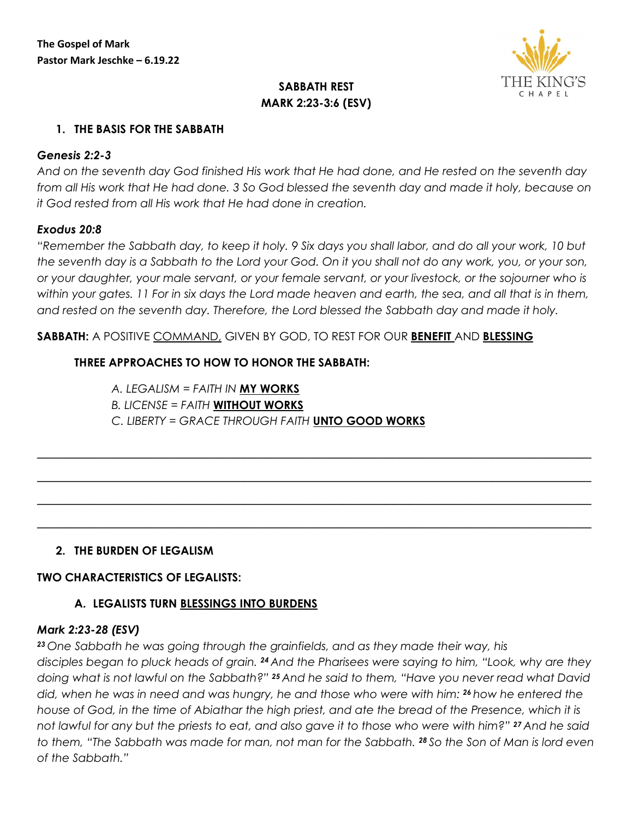

# **SABBATH REST MARK 2:23-3:6 (ESV)**

#### **1. THE BASIS FOR THE SABBATH**

#### *Genesis 2:2-3*

*And on the seventh day God finished His work that He had done, and He rested on the seventh day from all His work that He had done. 3 So God blessed the seventh day and made it holy, because on it God rested from all His work that He had done in creation.*

#### *Exodus 20:8*

*"Remember the Sabbath day, to keep it holy. 9 Six days you shall labor, and do all your work, 10 but the seventh day is a Sabbath to the Lord your God. On it you shall not do any work, you, or your son, or your daughter, your male servant, or your female servant, or your livestock, or the sojourner who is within your gates. 11 For in six days the Lord made heaven and earth, the sea, and all that is in them, and rested on the seventh day. Therefore, the Lord blessed the Sabbath day and made it holy.*

*\_\_\_\_\_\_\_\_\_\_\_\_\_\_\_\_\_\_\_\_\_\_\_\_\_\_\_\_\_\_\_\_\_\_\_\_\_\_\_\_\_\_\_\_\_\_\_\_\_\_\_\_\_\_\_\_\_\_\_\_\_\_\_\_\_\_\_*

*\_\_\_\_\_\_\_\_\_\_\_\_\_\_\_\_\_\_\_\_\_\_\_\_\_\_\_\_\_\_\_\_\_\_\_\_\_\_\_\_\_\_\_\_\_\_\_\_\_\_\_\_\_\_\_\_\_\_\_\_\_\_\_\_\_\_\_*

*\_\_\_\_\_\_\_\_\_\_\_\_\_\_\_\_\_\_\_\_\_\_\_\_\_\_\_\_\_\_\_\_\_\_\_\_\_\_\_\_\_\_\_\_\_\_\_\_\_\_\_\_\_\_\_\_\_\_\_\_\_\_\_\_\_\_\_*

*\_\_\_\_\_\_\_\_\_\_\_\_\_\_\_\_\_\_\_\_\_\_\_\_\_\_\_\_\_\_\_\_\_\_\_\_\_\_\_\_\_\_\_\_\_\_\_\_\_\_\_\_\_\_\_\_\_\_\_\_\_\_\_\_\_\_\_*

**SABBATH:** A POSITIVE COMMAND, GIVEN BY GOD, TO REST FOR OUR **BENEFIT** AND **BLESSING**

## **THREE APPROACHES TO HOW TO HONOR THE SABBATH:**

*A. LEGALISM = FAITH IN* **MY WORKS** *B. LICENSE = FAITH* **WITHOUT WORKS** *C. LIBERTY = GRACE THROUGH FAITH* **UNTO GOOD WORKS**

## **2. THE BURDEN OF LEGALISM**

#### **TWO CHARACTERISTICS OF LEGALISTS:**

## **A. LEGALISTS TURN BLESSINGS INTO BURDENS**

#### *Mark 2:23-28 (ESV)*

*<sup>23</sup> One Sabbath he was going through the grainfields, and as they made their way, his disciples began to pluck heads of grain. <sup>24</sup> And the Pharisees were saying to him, "Look, why are they* 

*doing what is not lawful on the Sabbath?" <sup>25</sup> And he said to them, "Have you never read what David did, when he was in need and was hungry, he and those who were with him: <sup>26</sup> how he entered the house of God, in the time of Abiathar the high priest, and ate the bread of the Presence, which it is not lawful for any but the priests to eat, and also gave it to those who were with him?" <sup>27</sup> And he said to them, "The Sabbath was made for man, not man for the Sabbath. <sup>28</sup> So the Son of Man is lord even of the Sabbath."*